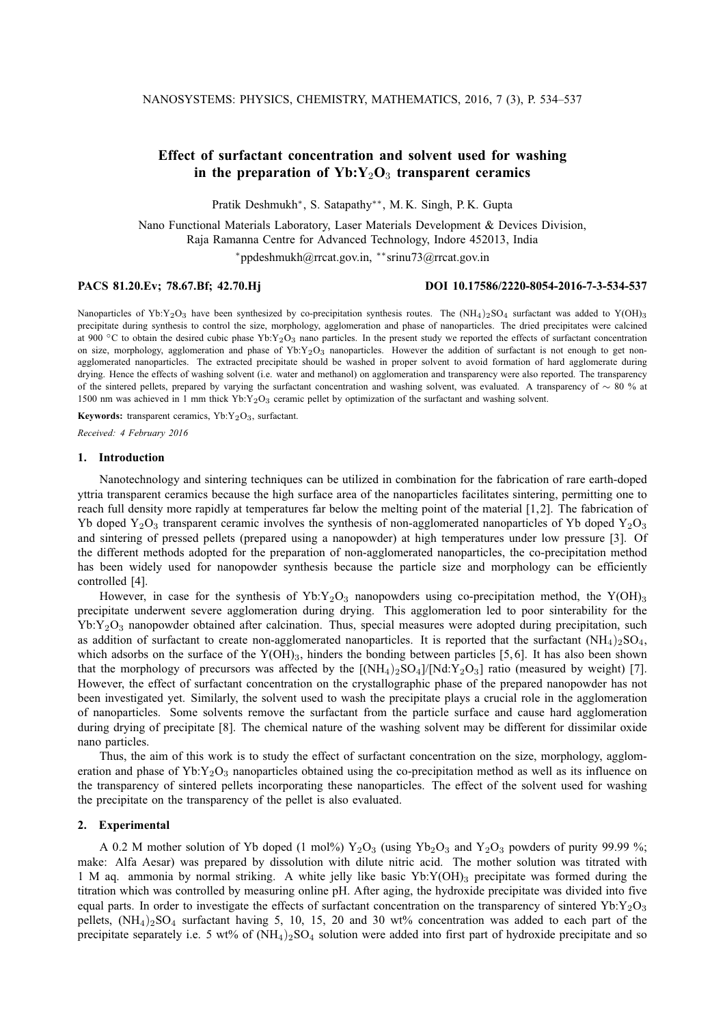# **Effect of surfactant concentration and solvent used for washing** in the preparation of  $Yb:Y_2O_3$  transparent ceramics

Pratik Deshmukh<sup>∗</sup> , S. Satapathy∗∗, M. K. Singh, P. K. Gupta

Nano Functional Materials Laboratory, Laser Materials Development & Devices Division, Raja Ramanna Centre for Advanced Technology, Indore 452013, India <sup>∗</sup>ppdeshmukh@rrcat.gov.in, ∗∗srinu73@rrcat.gov.in

### **PACS 81.20.Ev; 78.67.Bf; 42.70.Hj DOI 10.17586/2220-8054-2016-7-3-534-537**

Nanoparticles of Yb:Y<sub>2</sub>O<sub>3</sub> have been synthesized by co-precipitation synthesis routes. The  $(NH<sub>4</sub>)<sub>2</sub>SO<sub>4</sub>$  surfactant was added to Y(OH)<sub>3</sub> precipitate during synthesis to control the size, morphology, agglomeration and phase of nanoparticles. The dried precipitates were calcined at 900  $\degree$ C to obtain the desired cubic phase Yb:Y<sub>2</sub>O<sub>3</sub> nano particles. In the present study we reported the effects of surfactant concentration on size, morphology, agglomeration and phase of  $Yb:Y_2O_3$  nanoparticles. However the addition of surfactant is not enough to get nonagglomerated nanoparticles. The extracted precipitate should be washed in proper solvent to avoid formation of hard agglomerate during drying. Hence the effects of washing solvent (i.e. water and methanol) on agglomeration and transparency were also reported. The transparency of the sintered pellets, prepared by varying the surfactant concentration and washing solvent, was evaluated. A transparency of ∼ 80 % at 1500 nm was achieved in 1 mm thick Yb:Y2O<sup>3</sup> ceramic pellet by optimization of the surfactant and washing solvent.

Keywords: transparent ceramics, Yb:Y<sub>2</sub>O<sub>3</sub>, surfactant.

*Received: 4 February 2016*

# **1. Introduction**

Nanotechnology and sintering techniques can be utilized in combination for the fabrication of rare earth-doped yttria transparent ceramics because the high surface area of the nanoparticles facilitates sintering, permitting one to reach full density more rapidly at temperatures far below the melting point of the material [1,2]. The fabrication of Yb doped Y<sub>2</sub>O<sub>3</sub> transparent ceramic involves the synthesis of non-agglomerated nanoparticles of Yb doped Y<sub>2</sub>O<sub>3</sub> and sintering of pressed pellets (prepared using a nanopowder) at high temperatures under low pressure [3]. Of the different methods adopted for the preparation of non-agglomerated nanoparticles, the co-precipitation method has been widely used for nanopowder synthesis because the particle size and morphology can be efficiently controlled [4].

However, in case for the synthesis of  $Yb:Y_2O_3$  nanopowders using co-precipitation method, the  $Y(OH)_3$ precipitate underwent severe agglomeration during drying. This agglomeration led to poor sinterability for the  $Yb:Y<sub>2</sub>O<sub>3</sub>$  nanopowder obtained after calcination. Thus, special measures were adopted during precipitation, such as addition of surfactant to create non-agglomerated nanoparticles. It is reported that the surfactant  $(NH_4)_2SO_4$ , which adsorbs on the surface of the  $Y(OH)_{3}$ , hinders the bonding between particles [5,6]. It has also been shown that the morphology of precursors was affected by the  $\left[\frac{N_{H_4}}{2}SO_4\right]\left[\frac{N_{H_2}}{2}O_3\right]$  ratio (measured by weight) [7]. However, the effect of surfactant concentration on the crystallographic phase of the prepared nanopowder has not been investigated yet. Similarly, the solvent used to wash the precipitate plays a crucial role in the agglomeration of nanoparticles. Some solvents remove the surfactant from the particle surface and cause hard agglomeration during drying of precipitate [8]. The chemical nature of the washing solvent may be different for dissimilar oxide nano particles.

Thus, the aim of this work is to study the effect of surfactant concentration on the size, morphology, agglomeration and phase of Yb: $Y_2O_3$  nanoparticles obtained using the co-precipitation method as well as its influence on the transparency of sintered pellets incorporating these nanoparticles. The effect of the solvent used for washing the precipitate on the transparency of the pellet is also evaluated.

#### **2. Experimental**

A 0.2 M mother solution of Yb doped (1 mol%)  $Y_2O_3$  (using  $Y_2O_3$  and  $Y_2O_3$  powders of purity 99.99 %; make: Alfa Aesar) was prepared by dissolution with dilute nitric acid. The mother solution was titrated with 1 M aq. ammonia by normal striking. A white jelly like basic  $Yb:Y(OH)_3$  precipitate was formed during the titration which was controlled by measuring online pH. After aging, the hydroxide precipitate was divided into five equal parts. In order to investigate the effects of surfactant concentration on the transparency of sintered Yb: $Y_2O_3$ pellets,  $(NH_4)_2SO_4$  surfactant having 5, 10, 15, 20 and 30 wt% concentration was added to each part of the precipitate separately i.e. 5 wt% of  $(NH_4)_2SO_4$  solution were added into first part of hydroxide precipitate and so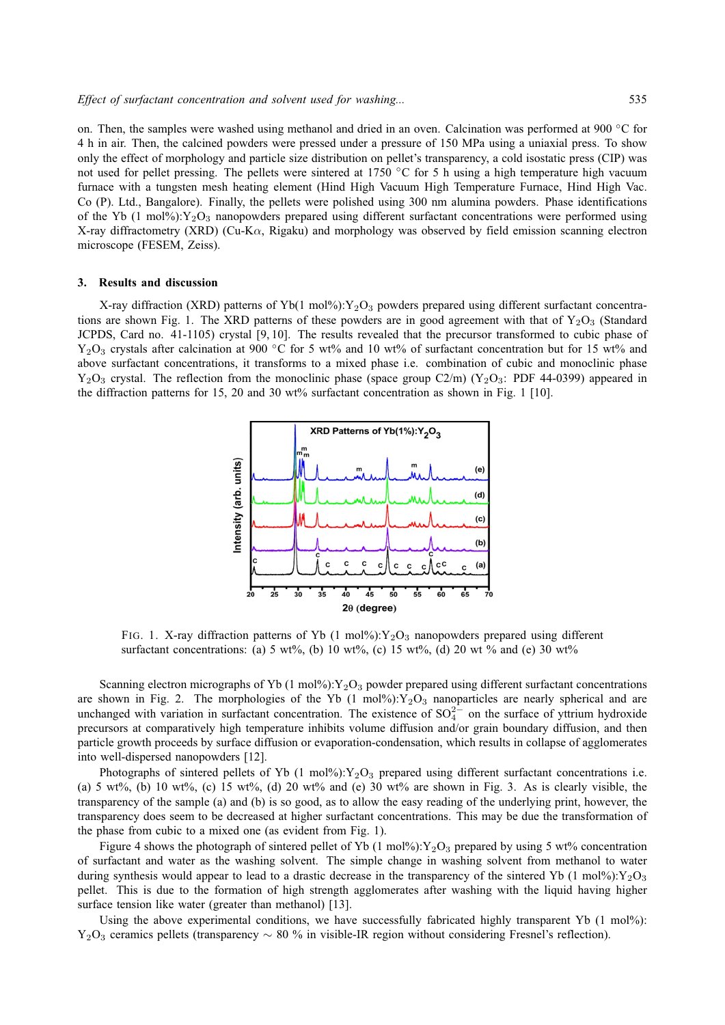on. Then, the samples were washed using methanol and dried in an oven. Calcination was performed at 900 ◦C for 4 h in air. Then, the calcined powders were pressed under a pressure of 150 MPa using a uniaxial press. To show only the effect of morphology and particle size distribution on pellet's transparency, a cold isostatic press (CIP) was not used for pellet pressing. The pellets were sintered at 1750 ℃ for 5 h using a high temperature high vacuum furnace with a tungsten mesh heating element (Hind High Vacuum High Temperature Furnace, Hind High Vac. Co (P). Ltd., Bangalore). Finally, the pellets were polished using 300 nm alumina powders. Phase identifications of the Yb (1 mol%): $Y_2O_3$  nanopowders prepared using different surfactant concentrations were performed using X-ray diffractometry (XRD) (Cu-K $\alpha$ , Rigaku) and morphology was observed by field emission scanning electron microscope (FESEM, Zeiss).

#### **3. Results and discussion**

X-ray diffraction (XRD) patterns of Yb(1 mol%):  $Y_2O_3$  powders prepared using different surfactant concentrations are shown Fig. 1. The XRD patterns of these powders are in good agreement with that of  $Y_2O_3$  (Standard JCPDS, Card no. 41-1105) crystal [9, 10]. The results revealed that the precursor transformed to cubic phase of Y<sub>2</sub>O<sub>3</sub> crystals after calcination at 900 °C for 5 wt% and 10 wt% of surfactant concentration but for 15 wt% and above surfactant concentrations, it transforms to a mixed phase i.e. combination of cubic and monoclinic phase  $Y_2O_3$  crystal. The reflection from the monoclinic phase (space group C2/m) ( $Y_2O_3$ : PDF 44-0399) appeared in the diffraction patterns for 15, 20 and 30 wt% surfactant concentration as shown in Fig. 1 [10].



FIG. 1. X-ray diffraction patterns of Yb (1 mol%): $Y_2O_3$  nanopowders prepared using different surfactant concentrations: (a) 5 wt%, (b) 10 wt%, (c) 15 wt%, (d) 20 wt % and (e) 30 wt%

Scanning electron micrographs of Yb (1 mol%): $Y_2O_3$  powder prepared using different surfactant concentrations are shown in Fig. 2. The morphologies of the Yb  $(1 \text{ mol\%})$ :  $Y_2O_3$  nanoparticles are nearly spherical and are unchanged with variation in surfactant concentration. The existence of  $SO_4^{2-}$  on the surface of yttrium hydroxide precursors at comparatively high temperature inhibits volume diffusion and/or grain boundary diffusion, and then particle growth proceeds by surface diffusion or evaporation-condensation, which results in collapse of agglomerates into well-dispersed nanopowders [12].

Photographs of sintered pellets of Yb (1 mol%): $Y_2O_3$  prepared using different surfactant concentrations i.e. (a) 5 wt%, (b) 10 wt%, (c) 15 wt%, (d) 20 wt% and (e) 30 wt% are shown in Fig. 3. As is clearly visible, the transparency of the sample (a) and (b) is so good, as to allow the easy reading of the underlying print, however, the transparency does seem to be decreased at higher surfactant concentrations. This may be due the transformation of the phase from cubic to a mixed one (as evident from Fig. 1).

Figure 4 shows the photograph of sintered pellet of Yb (1 mol%):  $Y_2O_3$  prepared by using 5 wt% concentration of surfactant and water as the washing solvent. The simple change in washing solvent from methanol to water during synthesis would appear to lead to a drastic decrease in the transparency of the sintered Yb (1 mol%): $Y_2O_3$ pellet. This is due to the formation of high strength agglomerates after washing with the liquid having higher surface tension like water (greater than methanol) [13].

Using the above experimental conditions, we have successfully fabricated highly transparent Yb (1 mol%): Y<sub>2</sub>O<sub>3</sub> ceramics pellets (transparency  $\sim 80$  % in visible-IR region without considering Fresnel's reflection).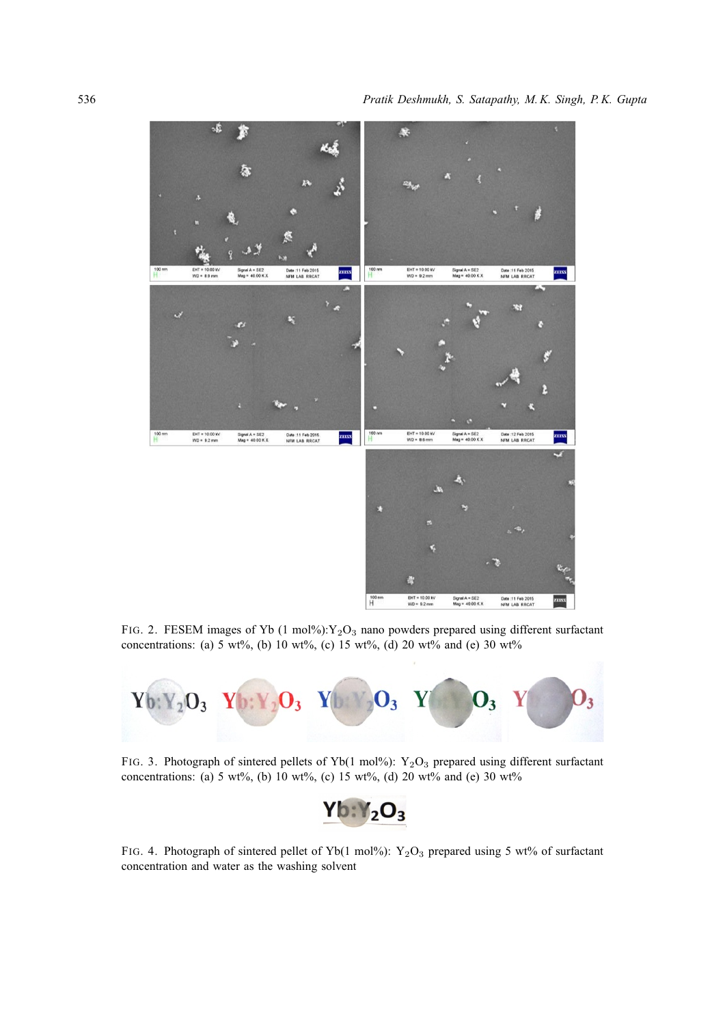

FIG. 2. FESEM images of Yb  $(1 \text{ mol\%})$ : Y<sub>2</sub>O<sub>3</sub> nano powders prepared using different surfactant concentrations: (a) 5 wt%, (b) 10 wt%, (c) 15 wt%, (d) 20 wt% and (e) 30 wt%



FIG. 3. Photograph of sintered pellets of Yb(1 mol%):  $Y_2O_3$  prepared using different surfactant concentrations: (a) 5 wt%, (b) 10 wt%, (c) 15 wt%, (d) 20 wt% and (e) 30 wt%



FIG. 4. Photograph of sintered pellet of Yb(1 mol%):  $Y_2O_3$  prepared using 5 wt% of surfactant concentration and water as the washing solvent